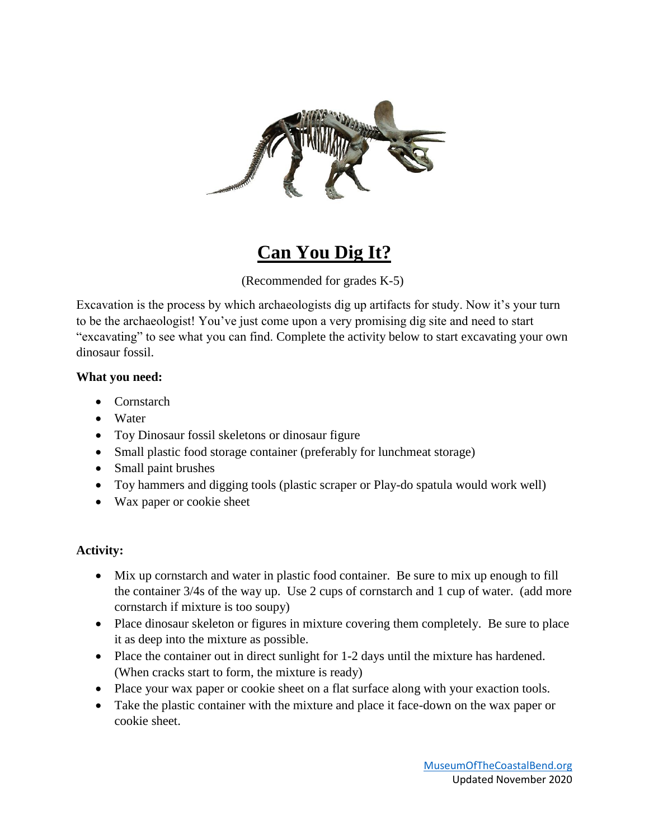

## **Can You Dig It?**

(Recommended for grades K-5)

Excavation is the process by which archaeologists dig up artifacts for study. Now it's your turn to be the archaeologist! You've just come upon a very promising dig site and need to start "excavating" to see what you can find. Complete the activity below to start excavating your own dinosaur fossil.

## **What you need:**

- Cornstarch
- Water
- Toy Dinosaur fossil skeletons or dinosaur figure
- Small plastic food storage container (preferably for lunchmeat storage)
- Small paint brushes
- Toy hammers and digging tools (plastic scraper or Play-do spatula would work well)
- Wax paper or cookie sheet

## **Activity:**

- Mix up cornstarch and water in plastic food container. Be sure to mix up enough to fill the container 3/4s of the way up. Use 2 cups of cornstarch and 1 cup of water. (add more cornstarch if mixture is too soupy)
- Place dinosaur skeleton or figures in mixture covering them completely. Be sure to place it as deep into the mixture as possible.
- Place the container out in direct sunlight for 1-2 days until the mixture has hardened. (When cracks start to form, the mixture is ready)
- Place your wax paper or cookie sheet on a flat surface along with your exaction tools.
- Take the plastic container with the mixture and place it face-down on the wax paper or cookie sheet.